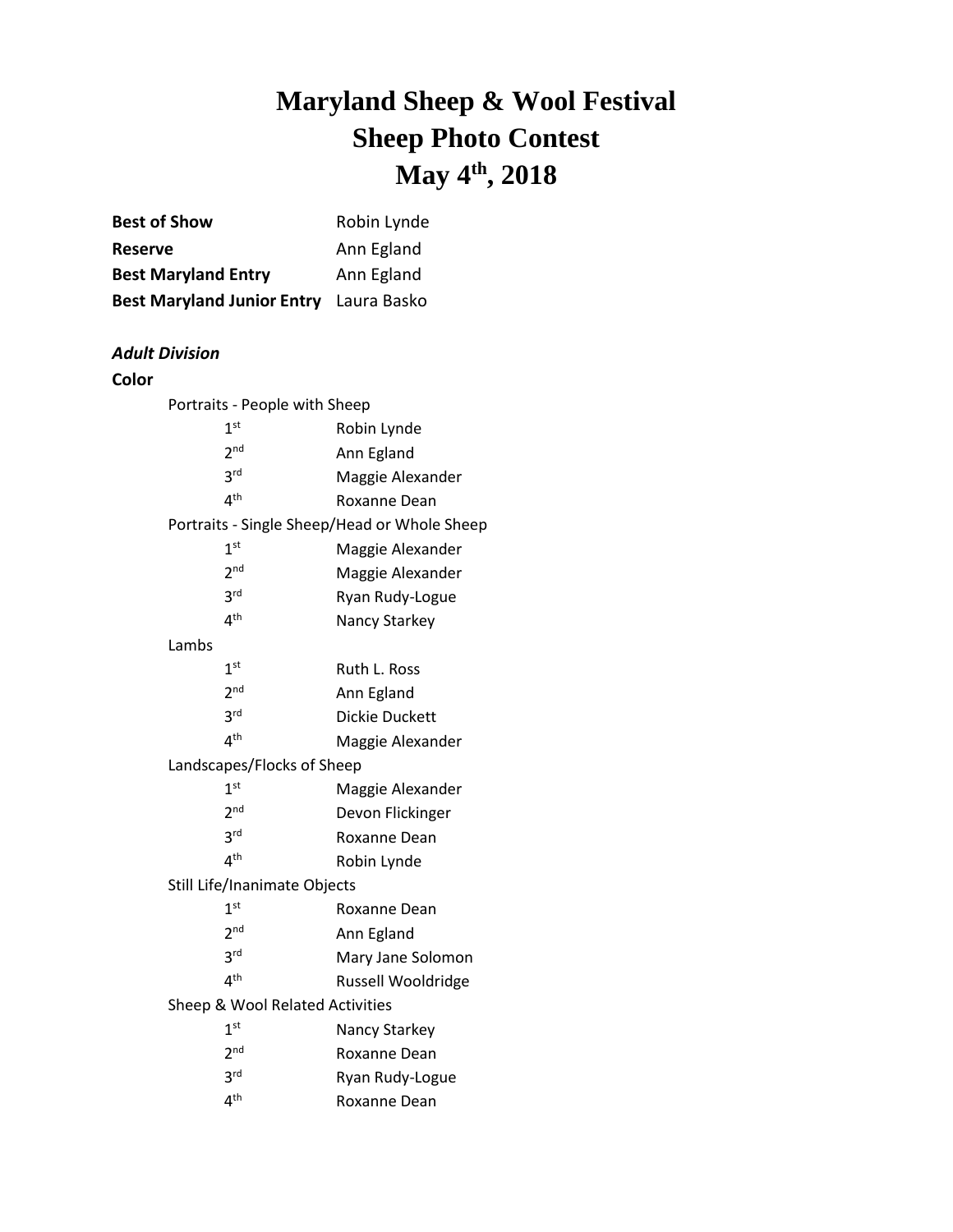## **Maryland Sheep & Wool Festival Sheep Photo Contest May 4 th , 2018**

| <b>Best of Show</b>                           | Robin Lynde                                  |
|-----------------------------------------------|----------------------------------------------|
| Reserve                                       | Ann Egland                                   |
| <b>Best Maryland Entry</b>                    | Ann Egland                                   |
| <b>Best Maryland Junior Entry</b> Laura Basko |                                              |
|                                               |                                              |
| <b>Adult Division</b>                         |                                              |
| Color                                         |                                              |
| Portraits - People with Sheep                 |                                              |
| 1 <sup>st</sup>                               | Robin Lynde                                  |
| 2 <sup>nd</sup>                               | Ann Egland                                   |
| 3 <sup>rd</sup>                               | Maggie Alexander                             |
| 4 <sup>th</sup>                               | Roxanne Dean                                 |
|                                               | Portraits - Single Sheep/Head or Whole Sheep |
| 1 <sup>st</sup>                               | Maggie Alexander                             |
| 2 <sup>nd</sup>                               | Maggie Alexander                             |
| 3 <sup>rd</sup>                               | Ryan Rudy-Logue                              |
| 4 <sup>th</sup>                               | Nancy Starkey                                |
| Lambs                                         |                                              |
| 1 <sup>st</sup>                               | Ruth L. Ross                                 |
| 2 <sup>nd</sup>                               | Ann Egland                                   |
| 3 <sup>rd</sup>                               | <b>Dickie Duckett</b>                        |
| 4 <sup>th</sup>                               | Maggie Alexander                             |
| Landscapes/Flocks of Sheep                    |                                              |
| 1 <sup>st</sup>                               | Maggie Alexander                             |
| 2 <sub>nd</sub>                               | Devon Flickinger                             |
| 3 <sup>rd</sup>                               | Roxanne Dean                                 |
| 4 <sup>th</sup>                               | Robin Lynde                                  |
| Still Life/Inanimate Objects                  |                                              |
| 1 <sup>st</sup>                               | Roxanne Dean                                 |
| 2 <sub>nd</sub>                               | Ann Egland                                   |
| 3 <sup>rd</sup>                               | Mary Jane Solomon                            |
| 4 <sup>th</sup>                               | Russell Wooldridge                           |
| Sheep & Wool Related Activities               |                                              |
| 1 <sup>st</sup>                               | Nancy Starkey                                |
| 2 <sup>nd</sup>                               | Roxanne Dean                                 |
| 3 <sup>rd</sup>                               | Ryan Rudy-Logue                              |
| 4 <sup>th</sup>                               | Roxanne Dean                                 |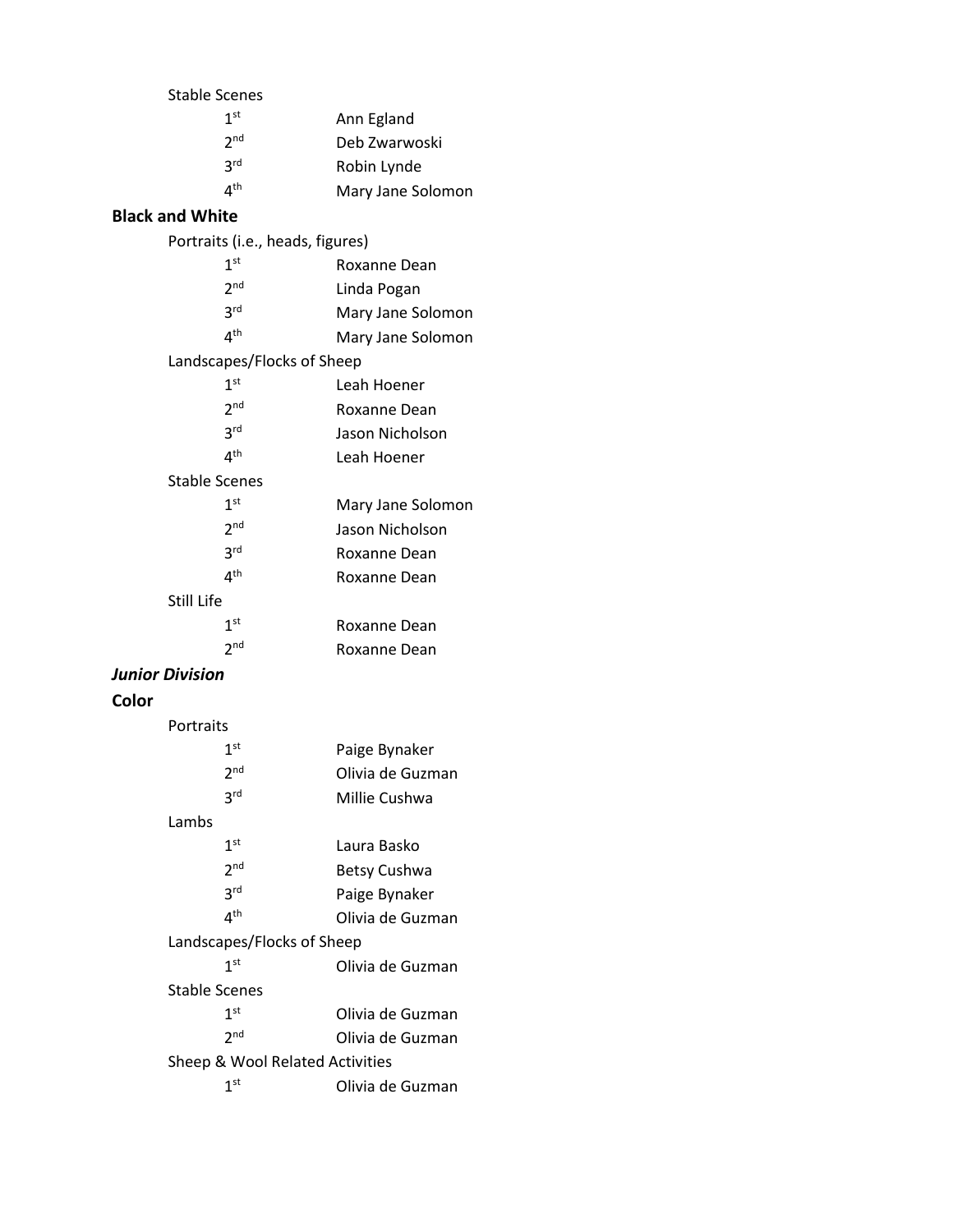|       | <b>Stable Scenes</b>             |                   |
|-------|----------------------------------|-------------------|
|       | $1^{\rm st}$                     | Ann Egland        |
|       | 2 <sup>nd</sup>                  | Deb Zwarwoski     |
|       | 3 <sup>rd</sup>                  | Robin Lynde       |
|       | 4 <sup>th</sup>                  | Mary Jane Solomon |
|       | <b>Black and White</b>           |                   |
|       | Portraits (i.e., heads, figures) |                   |
|       | 1 <sup>st</sup>                  | Roxanne Dean      |
|       | 2 <sup>nd</sup>                  | Linda Pogan       |
|       | 3 <sup>rd</sup>                  | Mary Jane Solomon |
|       | 4 <sup>th</sup>                  | Mary Jane Solomon |
|       | Landscapes/Flocks of Sheep       |                   |
|       | 1 <sup>st</sup>                  | Leah Hoener       |
|       | 2 <sub>nd</sub>                  | Roxanne Dean      |
|       | 3 <sup>rd</sup>                  | Jason Nicholson   |
|       | 4 <sup>th</sup>                  | Leah Hoener       |
|       | <b>Stable Scenes</b>             |                   |
|       | 1 <sup>st</sup>                  | Mary Jane Solomon |
|       | 2 <sup>nd</sup>                  | Jason Nicholson   |
|       | 3 <sup>rd</sup>                  | Roxanne Dean      |
|       | 4 <sup>th</sup>                  | Roxanne Dean      |
|       | Still Life                       |                   |
|       | 1 <sup>st</sup>                  | Roxanne Dean      |
|       | 2 <sub>nd</sub>                  | Roxanne Dean      |
|       | <b>Junior Division</b>           |                   |
| Color |                                  |                   |
|       | Portraits                        |                   |
|       | 1 <sup>st</sup>                  | Paige Bynaker     |
|       | 2 <sub>nd</sub>                  | Olivia de Guzman  |

## Lambs

 $3<sup>rd</sup>$ 

| 1 <sup>st</sup>                 | Laura Basko         |  |
|---------------------------------|---------------------|--|
| 2 <sub>nd</sub>                 | <b>Betsy Cushwa</b> |  |
| <b>3rd</b>                      | Paige Bynaker       |  |
| $4^{\text{th}}$                 | Olivia de Guzman    |  |
| Landscapes/Flocks of Sheep      |                     |  |
| 1 <sup>st</sup>                 | Olivia de Guzman    |  |
| Stable Scenes                   |                     |  |
| 1 <sup>st</sup>                 | Olivia de Guzman    |  |
| 2 <sub>nd</sub>                 | Olivia de Guzman    |  |
| Sheep & Wool Related Activities |                     |  |
| 1 <sup>st</sup>                 | Olivia de Guzman    |  |

Millie Cushwa